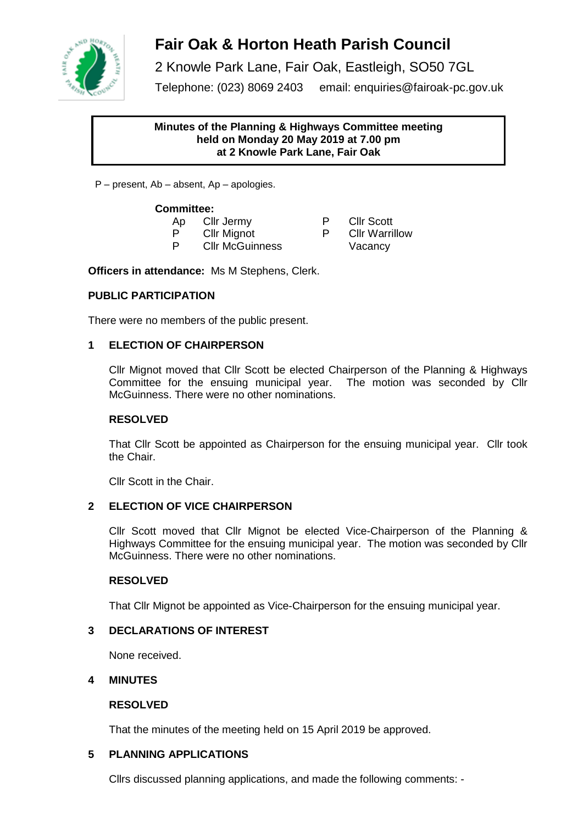

# **Fair Oak & Horton Heath Parish Council**

2 Knowle Park Lane, Fair Oak, Eastleigh, SO50 7GL

Telephone: (023) 8069 2403 email: enquiries@fairoak-pc.gov.uk

### **Minutes of the Planning & Highways Committee meeting held on Monday 20 May 2019 at 7.00 pm at 2 Knowle Park Lane, Fair Oak**

P – present, Ab – absent, Ap – apologies.

### **Committee:**

- Ap Clir Jermy P Clir Scott<br>P Clir Mignot P Clir Warri
- 

P CIIr Mignot P CIIr Warrillow<br>P CIIr McGuinness Macancy Cllr McGuinness Vacancy

**Officers in attendance:** Ms M Stephens, Clerk.

# **PUBLIC PARTICIPATION**

There were no members of the public present.

# **1 ELECTION OF CHAIRPERSON**

Cllr Mignot moved that Cllr Scott be elected Chairperson of the Planning & Highways Committee for the ensuing municipal year. The motion was seconded by Cllr McGuinness. There were no other nominations.

# **RESOLVED**

That Cllr Scott be appointed as Chairperson for the ensuing municipal year. Cllr took the Chair.

Cllr Scott in the Chair.

# **2 ELECTION OF VICE CHAIRPERSON**

Cllr Scott moved that Cllr Mignot be elected Vice-Chairperson of the Planning & Highways Committee for the ensuing municipal year. The motion was seconded by Cllr McGuinness. There were no other nominations.

# **RESOLVED**

That Cllr Mignot be appointed as Vice-Chairperson for the ensuing municipal year.

# **3 DECLARATIONS OF INTEREST**

None received.

### **4 MINUTES**

### **RESOLVED**

That the minutes of the meeting held on 15 April 2019 be approved.

# **5 PLANNING APPLICATIONS**

Cllrs discussed planning applications, and made the following comments: -